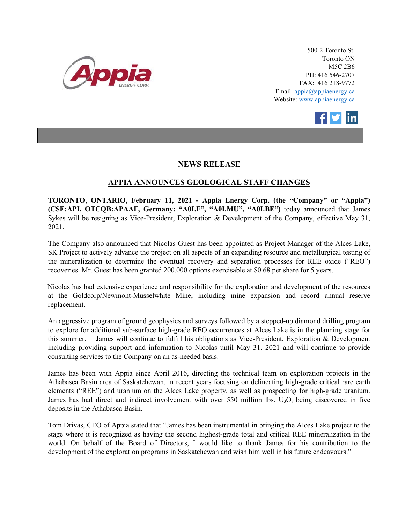

500-2 Toronto St. Toronto ON M5C 2B6 PH: 416 546-2707 FAX: 416 218-9772 Email: appia@appiaenergy.ca Website: www.appiaenergy.ca



## **NEWS RELEASE**

## **APPIA ANNOUNCES GEOLOGICAL STAFF CHANGES**

**TORONTO, ONTARIO, February 11, 2021 - Appia Energy Corp. (the "Company" or "Appia") (CSE:API, OTCQB:APAAF, Germany: "A0I.F", "A0I.MU", "A0I.BE")** today announced that James Sykes will be resigning as Vice-President, Exploration & Development of the Company, effective May 31, 2021.

The Company also announced that Nicolas Guest has been appointed as Project Manager of the Alces Lake, SK Project to actively advance the project on all aspects of an expanding resource and metallurgical testing of the mineralization to determine the eventual recovery and separation processes for REE oxide ("REO") recoveries. Mr. Guest has been granted 200,000 options exercisable at \$0.68 per share for 5 years.

Nicolas has had extensive experience and responsibility for the exploration and development of the resources at the Goldcorp/Newmont-Musselwhite Mine, including mine expansion and record annual reserve replacement.

An aggressive program of ground geophysics and surveys followed by a stepped-up diamond drilling program to explore for additional sub-surface high-grade REO occurrences at Alces Lake is in the planning stage for this summer. James will continue to fulfill his obligations as Vice-President, Exploration & Development including providing support and information to Nicolas until May 31. 2021 and will continue to provide consulting services to the Company on an as-needed basis.

James has been with Appia since April 2016, directing the technical team on exploration projects in the Athabasca Basin area of Saskatchewan, in recent years focusing on delineating high-grade critical rare earth elements ("REE") and uranium on the Alces Lake property, as well as prospecting for high-grade uranium. James has had direct and indirect involvement with over 550 million lbs.  $U_3O_8$  being discovered in five deposits in the Athabasca Basin.

Tom Drivas, CEO of Appia stated that "James has been instrumental in bringing the Alces Lake project to the stage where it is recognized as having the second highest-grade total and critical REE mineralization in the world. On behalf of the Board of Directors, I would like to thank James for his contribution to the development of the exploration programs in Saskatchewan and wish him well in his future endeavours."